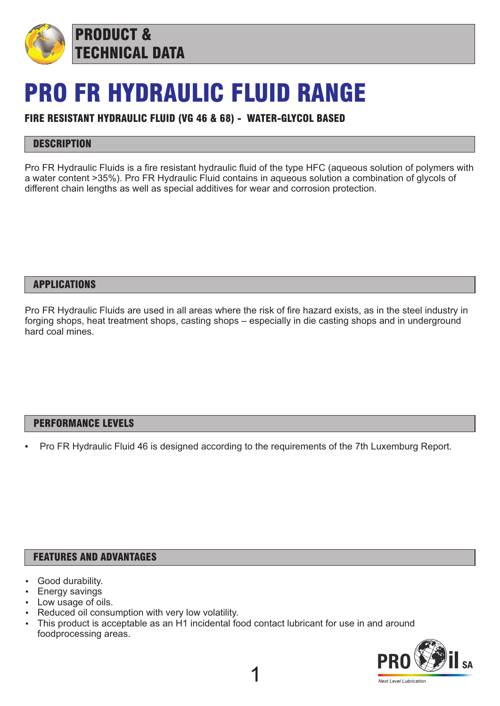

# PRO FR HYDRAULIC FLUID RANGE

### FIRE RESISTANT HYDRAULIC FLUID (VG 46 & 68) - WATER-GLYCOL BASED

## **DESCRIPTION**

Pro FR Hydraulic Fluids is a fire resistant hydraulic fluid of the type HFC (aqueous solution of polymers with a water content >35%). Pro FR Hydraulic Fluid contains in aqueous solution a combination of glycols of different chain lengths as well as special additives for wear and corrosion protection.

#### APPLICATIONS

Pro FR Hydraulic Fluids are used in all areas where the risk of fire hazard exists, as in the steel industry in forging shops, heat treatment shops, casting shops – especially in die casting shops and in underground hard coal mines.

#### PERFORMANCE LEVELS

Pro FR Hydraulic Fluid 46 is designed according to the requirements of the 7th Luxemburg Report.

#### FEATURES AND ADVANTAGES

- Good durability.
- Energy savings
- Low usage of oils.
- Reduced oil consumption with very low volatility.
- This product is acceptable as an H1 incidental food contact lubricant for use in and around foodprocessing areas.

1